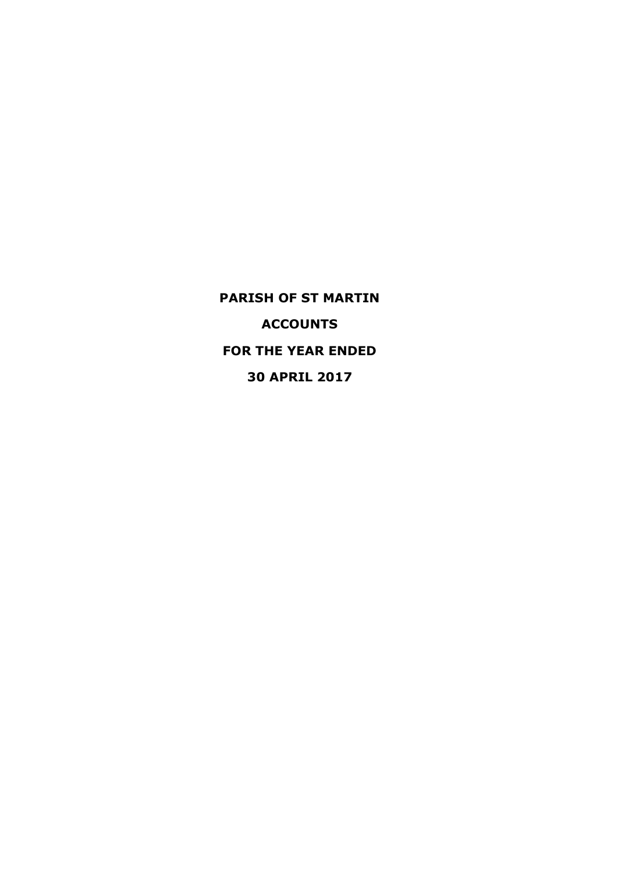**PARISH OF ST MARTIN ACCOUNTS FOR THE YEAR ENDED 30 APRIL 2017**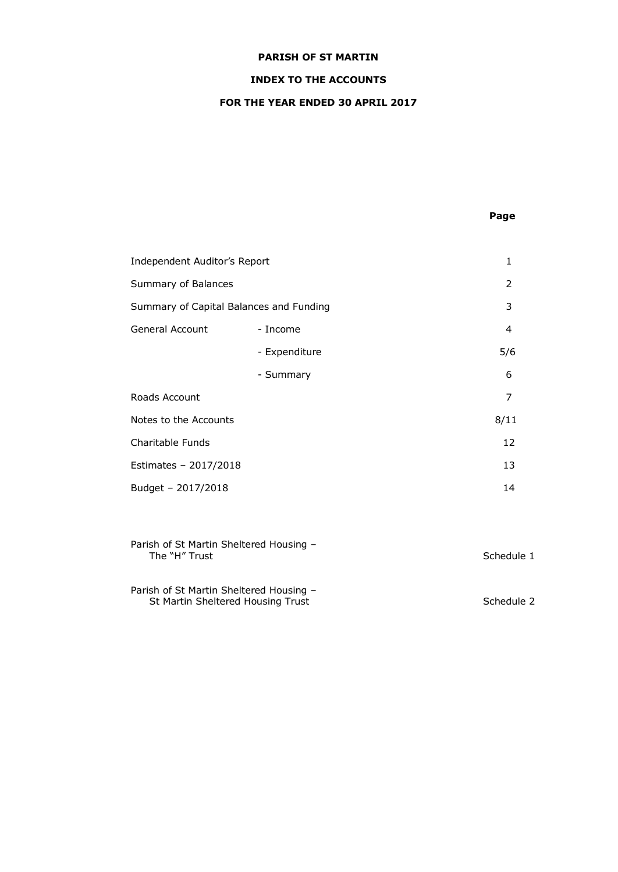# **INDEX TO THE ACCOUNTS**

# **FOR THE YEAR ENDED 30 APRIL 2017**

# **Page**

| Independent Auditor's Report            |               | 1    |
|-----------------------------------------|---------------|------|
| Summary of Balances                     |               | 2    |
| Summary of Capital Balances and Funding |               | 3    |
| General Account                         | - Income      | 4    |
|                                         | - Expenditure | 5/6  |
|                                         | - Summary     | 6    |
| Roads Account                           |               | 7    |
| Notes to the Accounts                   |               | 8/11 |
| Charitable Funds                        |               | 12   |
| Estimates - 2017/2018                   |               | 13   |
| Budget - 2017/2018                      |               | 14   |

| Parish of St Martin Sheltered Housing -<br>The "H" Trust                     | Schedule 1 |
|------------------------------------------------------------------------------|------------|
| Parish of St Martin Sheltered Housing -<br>St Martin Sheltered Housing Trust | Schedule 2 |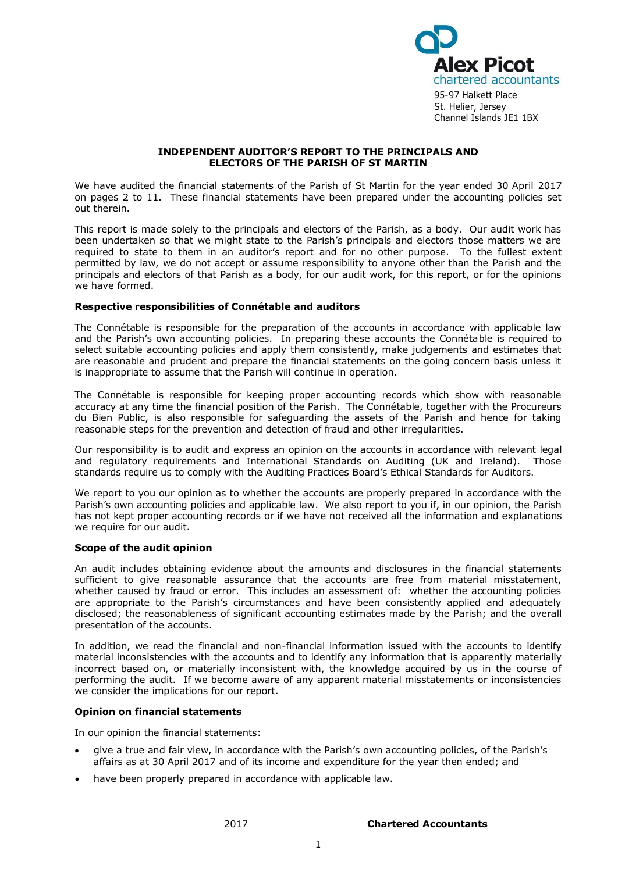

95-97 Halkett Place St. Helier, Jersey Channel Islands JE1 1BX

#### **INDEPENDENT AUDITOR'S REPORT TO THE PRINCIPALS AND ELECTORS OF THE PARISH OF ST MARTIN**

We have audited the financial statements of the Parish of St Martin for the year ended 30 April 2017 on pages 2 to 11. These financial statements have been prepared under the accounting policies set out therein.

This report is made solely to the principals and electors of the Parish, as a body. Our audit work has been undertaken so that we might state to the Parish's principals and electors those matters we are required to state to them in an auditor's report and for no other purpose. To the fullest extent permitted by law, we do not accept or assume responsibility to anyone other than the Parish and the principals and electors of that Parish as a body, for our audit work, for this report, or for the opinions we have formed.

### **Respective responsibilities of Connétable and auditors**

The Connétable is responsible for the preparation of the accounts in accordance with applicable law and the Parish's own accounting policies. In preparing these accounts the Connétable is required to select suitable accounting policies and apply them consistently, make judgements and estimates that are reasonable and prudent and prepare the financial statements on the going concern basis unless it is inappropriate to assume that the Parish will continue in operation.

The Connétable is responsible for keeping proper accounting records which show with reasonable accuracy at any time the financial position of the Parish. The Connétable, together with the Procureurs du Bien Public, is also responsible for safeguarding the assets of the Parish and hence for taking reasonable steps for the prevention and detection of fraud and other irregularities.

Our responsibility is to audit and express an opinion on the accounts in accordance with relevant legal and regulatory requirements and International Standards on Auditing (UK and Ireland). Those standards require us to comply with the Auditing Practices Board's Ethical Standards for Auditors.

We report to you our opinion as to whether the accounts are properly prepared in accordance with the Parish's own accounting policies and applicable law. We also report to you if, in our opinion, the Parish has not kept proper accounting records or if we have not received all the information and explanations we require for our audit.

### **Scope of the audit opinion**

An audit includes obtaining evidence about the amounts and disclosures in the financial statements sufficient to give reasonable assurance that the accounts are free from material misstatement, whether caused by fraud or error. This includes an assessment of: whether the accounting policies are appropriate to the Parish's circumstances and have been consistently applied and adequately disclosed; the reasonableness of significant accounting estimates made by the Parish; and the overall presentation of the accounts.

In addition, we read the financial and non-financial information issued with the accounts to identify material inconsistencies with the accounts and to identify any information that is apparently materially incorrect based on, or materially inconsistent with, the knowledge acquired by us in the course of performing the audit. If we become aware of any apparent material misstatements or inconsistencies we consider the implications for our report.

# **Opinion on financial statements**

In our opinion the financial statements:

- give a true and fair view, in accordance with the Parish's own accounting policies, of the Parish's affairs as at 30 April 2017 and of its income and expenditure for the year then ended; and
- have been properly prepared in accordance with applicable law.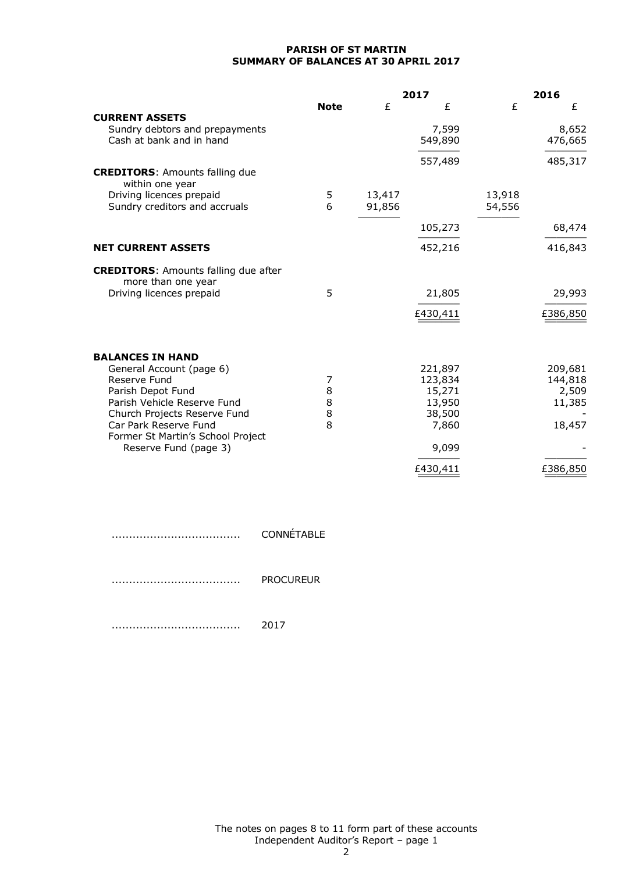## **PARISH OF ST MARTIN SUMMARY OF BALANCES AT 30 APRIL 2017**

|                                                                   |             |        | 2017             |        | 2016     |
|-------------------------------------------------------------------|-------------|--------|------------------|--------|----------|
|                                                                   | <b>Note</b> | £      | £                | £      | £        |
| <b>CURRENT ASSETS</b>                                             |             |        |                  |        |          |
| Sundry debtors and prepayments                                    |             |        | 7,599            |        | 8,652    |
| Cash at bank and in hand                                          |             |        | 549,890          |        | 476,665  |
|                                                                   |             |        | 557,489          |        | 485,317  |
| <b>CREDITORS: Amounts falling due</b><br>within one year          |             |        |                  |        |          |
| Driving licences prepaid                                          | 5           | 13,417 |                  | 13,918 |          |
| Sundry creditors and accruals                                     | 6           | 91,856 |                  | 54,556 |          |
|                                                                   |             |        | 105,273          |        | 68,474   |
| <b>NET CURRENT ASSETS</b>                                         |             |        | 452,216          |        | 416,843  |
| <b>CREDITORS:</b> Amounts falling due after<br>more than one year |             |        |                  |        |          |
| Driving licences prepaid                                          | 5           |        | 21,805           |        | 29,993   |
|                                                                   |             |        | £430,411         |        | £386,850 |
|                                                                   |             |        |                  |        |          |
| <b>BALANCES IN HAND</b>                                           |             |        |                  |        |          |
| General Account (page 6)                                          |             |        | 221,897          |        | 209,681  |
| Reserve Fund                                                      | 7           |        | 123,834          |        | 144,818  |
| Parish Depot Fund<br>Parish Vehicle Reserve Fund                  | 8<br>8      |        | 15,271<br>13,950 |        | 2,509    |
| Church Projects Reserve Fund                                      | 8           |        | 38,500           |        | 11,385   |
| Car Park Reserve Fund                                             | 8           |        | 7,860            |        | 18,457   |
| Former St Martin's School Project                                 |             |        |                  |        |          |
| Reserve Fund (page 3)                                             |             |        | 9,099            |        |          |
|                                                                   |             |        | £430,411         |        | £386,850 |

| <b>CONNÉTABLE</b> |
|-------------------|
| <b>PROCUREUR</b>  |
| 2017              |

The notes on pages 8 to 11 form part of these accounts Independent Auditor's Report – page 1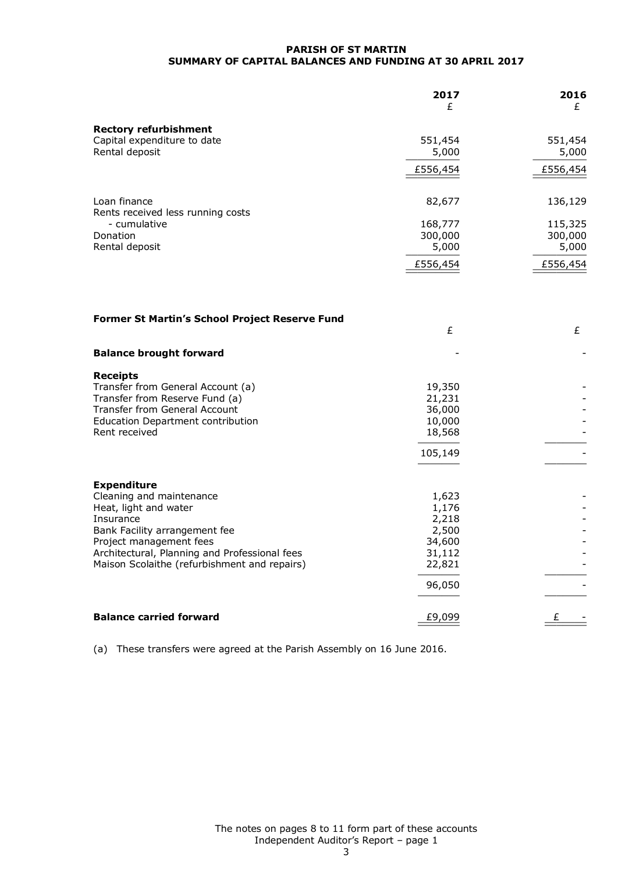#### **PARISH OF ST MARTIN SUMMARY OF CAPITAL BALANCES AND FUNDING AT 30 APRIL 2017**

|                                                   | 2017<br>£ | 2016<br>£ |
|---------------------------------------------------|-----------|-----------|
| <b>Rectory refurbishment</b>                      |           |           |
| Capital expenditure to date                       | 551,454   | 551,454   |
| Rental deposit                                    | 5,000     | 5,000     |
|                                                   | £556,454  | £556,454  |
| Loan finance<br>Rents received less running costs | 82,677    | 136,129   |
| - cumulative                                      | 168,777   | 115,325   |
| Donation                                          | 300,000   | 300,000   |
| Rental deposit                                    | 5,000     | 5,000     |
|                                                   | £556,454  | £556,454  |

| <b>Former St Martin's School Project Reserve Fund</b>                                                                                                                                                                                             | £                                                                        | £ |
|---------------------------------------------------------------------------------------------------------------------------------------------------------------------------------------------------------------------------------------------------|--------------------------------------------------------------------------|---|
| <b>Balance brought forward</b>                                                                                                                                                                                                                    |                                                                          |   |
| <b>Receipts</b><br>Transfer from General Account (a)<br>Transfer from Reserve Fund (a)<br><b>Transfer from General Account</b><br>Education Department contribution<br>Rent received                                                              | 19,350<br>21,231<br>36,000<br>10,000<br>18,568<br>105,149                |   |
| <b>Expenditure</b><br>Cleaning and maintenance<br>Heat, light and water<br>Insurance<br>Bank Facility arrangement fee<br>Project management fees<br>Architectural, Planning and Professional fees<br>Maison Scolaithe (refurbishment and repairs) | 1,623<br>1,176<br>2,218<br>2,500<br>34,600<br>31,112<br>22,821<br>96,050 |   |
| <b>Balance carried forward</b>                                                                                                                                                                                                                    | £9,099                                                                   | £ |

(a) These transfers were agreed at the Parish Assembly on 16 June 2016.

The notes on pages 8 to 11 form part of these accounts Independent Auditor's Report – page 1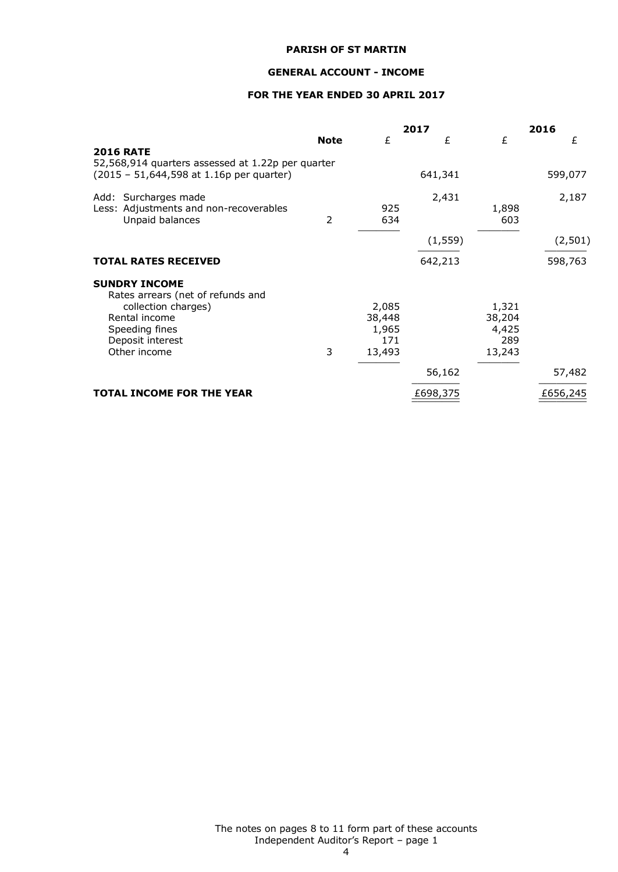#### **GENERAL ACCOUNT - INCOME**

# **FOR THE YEAR ENDED 30 APRIL 2017**

|                                                                                               |             |                                           | 2017     |                                           | 2016     |
|-----------------------------------------------------------------------------------------------|-------------|-------------------------------------------|----------|-------------------------------------------|----------|
| <b>2016 RATE</b>                                                                              | <b>Note</b> | £                                         | £        | £                                         | £        |
| 52,568,914 quarters assessed at 1.22p per quarter<br>(2015 - 51,644,598 at 1.16p per quarter) |             |                                           | 641,341  |                                           | 599,077  |
| Add: Surcharges made<br>Less: Adjustments and non-recoverables<br>Unpaid balances             | 2           | 925<br>634                                | 2,431    | 1,898<br>603                              | 2,187    |
|                                                                                               |             |                                           | (1, 559) |                                           | (2, 501) |
| <b>TOTAL RATES RECEIVED</b>                                                                   |             |                                           | 642,213  |                                           | 598,763  |
| <b>SUNDRY INCOME</b><br>Rates arrears (net of refunds and                                     |             |                                           |          |                                           |          |
| collection charges)<br>Rental income<br>Speeding fines<br>Deposit interest<br>Other income    | 3           | 2,085<br>38,448<br>1,965<br>171<br>13,493 |          | 1,321<br>38,204<br>4,425<br>289<br>13,243 |          |
|                                                                                               |             |                                           | 56,162   |                                           | 57,482   |
| <b>TOTAL INCOME FOR THE YEAR</b>                                                              |             |                                           | £698,375 |                                           | £656,245 |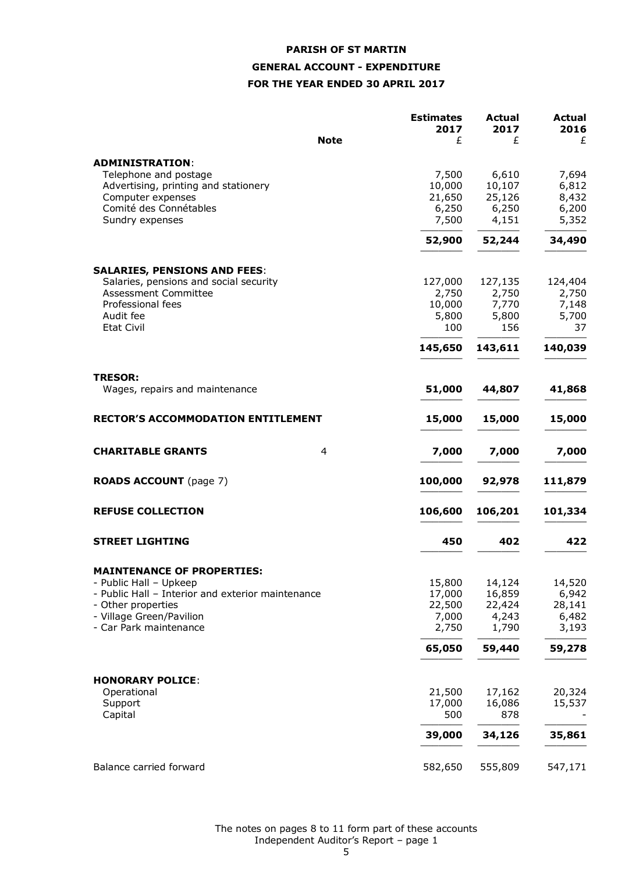# **PARISH OF ST MARTIN GENERAL ACCOUNT - EXPENDITURE FOR THE YEAR ENDED 30 APRIL 2017**

|                                                                               | <b>Estimates</b> | <b>Actual</b> | <b>Actual</b> |
|-------------------------------------------------------------------------------|------------------|---------------|---------------|
|                                                                               | 2017             | 2017          | 2016          |
| <b>Note</b>                                                                   | £                | £             | £             |
| <b>ADMINISTRATION:</b>                                                        |                  |               |               |
| Telephone and postage                                                         | 7,500            | 6,610         | 7,694         |
| Advertising, printing and stationery                                          | 10,000           | 10,107        | 6,812         |
| Computer expenses                                                             | 21,650           | 25,126        | 8,432         |
| Comité des Connétables                                                        | 6,250            | 6,250         | 6,200         |
| Sundry expenses                                                               | 7,500            | 4,151         | 5,352         |
|                                                                               | 52,900           | 52,244        | 34,490        |
|                                                                               |                  |               |               |
| <b>SALARIES, PENSIONS AND FEES:</b><br>Salaries, pensions and social security | 127,000          | 127,135       | 124,404       |
| Assessment Committee                                                          | 2,750            | 2,750         | 2,750         |
| Professional fees                                                             | 10,000           | 7,770         | 7,148         |
| Audit fee                                                                     | 5,800            | 5,800         | 5,700         |
| <b>Etat Civil</b>                                                             | 100              | 156           | 37            |
|                                                                               | 145,650          | 143,611       | 140,039       |
|                                                                               |                  |               |               |
| <b>TRESOR:</b>                                                                |                  |               |               |
| Wages, repairs and maintenance                                                | 51,000           | 44,807        | 41,868        |
| <b>RECTOR'S ACCOMMODATION ENTITLEMENT</b>                                     | 15,000           | 15,000        | 15,000        |
| <b>CHARITABLE GRANTS</b><br>4                                                 | 7,000            | 7,000         | 7,000         |
|                                                                               |                  |               |               |
| <b>ROADS ACCOUNT</b> (page 7)                                                 | 100,000          | 92,978        | 111,879       |
| <b>REFUSE COLLECTION</b>                                                      | 106,600          | 106,201       | 101,334       |
| <b>STREET LIGHTING</b>                                                        | 450              | 402           | 422           |
|                                                                               |                  |               |               |
| <b>MAINTENANCE OF PROPERTIES:</b>                                             |                  |               |               |
| - Public Hall - Upkeep                                                        | 15,800           | 14,124        | 14,520        |
| - Public Hall - Interior and exterior maintenance                             | 17,000           | 16,859        | 6,942         |
| - Other properties                                                            | 22,500           | 22,424        | 28,141        |
| - Village Green/Pavilion                                                      | 7,000            | 4,243         | 6,482         |
| - Car Park maintenance                                                        | 2,750            | 1,790         | 3,193         |
|                                                                               | 65,050           | 59,440        | 59,278        |
|                                                                               |                  |               |               |
| <b>HONORARY POLICE:</b>                                                       |                  |               |               |
| Operational                                                                   | 21,500           | 17,162        | 20,324        |
| Support<br>Capital                                                            | 17,000<br>500    | 16,086<br>878 | 15,537        |
|                                                                               | 39,000           | 34,126        | 35,861        |
|                                                                               |                  |               |               |
| Balance carried forward                                                       | 582,650          | 555,809       | 547,171       |

The notes on pages 8 to 11 form part of these accounts Independent Auditor's Report – page 1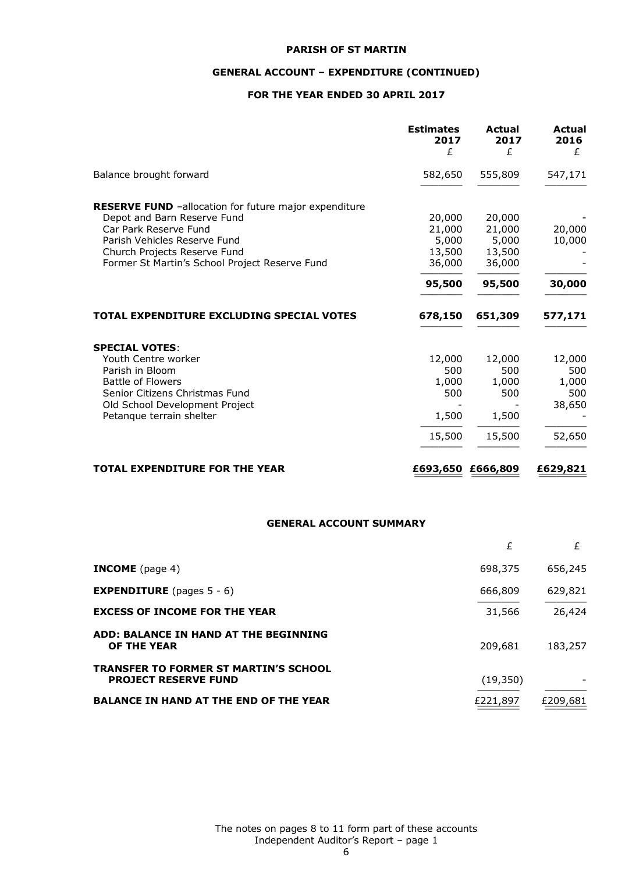# **GENERAL ACCOUNT – EXPENDITURE (CONTINUED)**

# **FOR THE YEAR ENDED 30 APRIL 2017**

|                                                                                                                                                      | <b>Estimates</b><br>2017<br>£ | Actual<br>2017<br>£        | <b>Actual</b><br>2016<br>£ |
|------------------------------------------------------------------------------------------------------------------------------------------------------|-------------------------------|----------------------------|----------------------------|
| Balance brought forward                                                                                                                              | 582,650                       | 555,809                    | 547,171                    |
| <b>RESERVE FUND</b> -allocation for future major expenditure<br>Depot and Barn Reserve Fund<br>Car Park Reserve Fund<br>Parish Vehicles Reserve Fund | 20,000<br>21,000<br>5,000     | 20,000<br>21,000<br>5,000  | 20,000<br>10,000           |
| Church Projects Reserve Fund<br>Former St Martin's School Project Reserve Fund                                                                       | 13,500<br>36,000<br>95,500    | 13,500<br>36,000<br>95,500 | 30,000                     |
| TOTAL EXPENDITURE EXCLUDING SPECIAL VOTES                                                                                                            | 678,150                       | 651,309                    | 577,171                    |
| <b>SPECIAL VOTES:</b><br>Youth Centre worker<br>Parish in Bloom                                                                                      | 12,000<br>500                 | 12,000<br>500              | 12,000<br>500              |
| <b>Battle of Flowers</b><br>Senior Citizens Christmas Fund<br>Old School Development Project<br>Petanque terrain shelter                             | 1,000<br>500<br>1,500         | 1,000<br>500<br>1,500      | 1,000<br>500<br>38,650     |
|                                                                                                                                                      | 15,500                        | 15,500                     | 52,650                     |
| <b>TOTAL EXPENDITURE FOR THE YEAR</b>                                                                                                                | £693,650                      | £666,809                   | £629,821                   |

#### **GENERAL ACCOUNT SUMMARY**

|                                                                             | £        | £        |
|-----------------------------------------------------------------------------|----------|----------|
| <b>INCOME</b> (page 4)                                                      | 698,375  | 656,245  |
| <b>EXPENDITURE</b> (pages $5 - 6$ )                                         | 666,809  | 629,821  |
| <b>EXCESS OF INCOME FOR THE YEAR</b>                                        | 31,566   | 26,424   |
| ADD: BALANCE IN HAND AT THE BEGINNING<br>OF THE YEAR                        | 209,681  | 183,257  |
| <b>TRANSFER TO FORMER ST MARTIN'S SCHOOL</b><br><b>PROJECT RESERVE FUND</b> | (19,350) |          |
| <b>BALANCE IN HAND AT THE END OF THE YEAR</b>                               | £221,897 | £209,681 |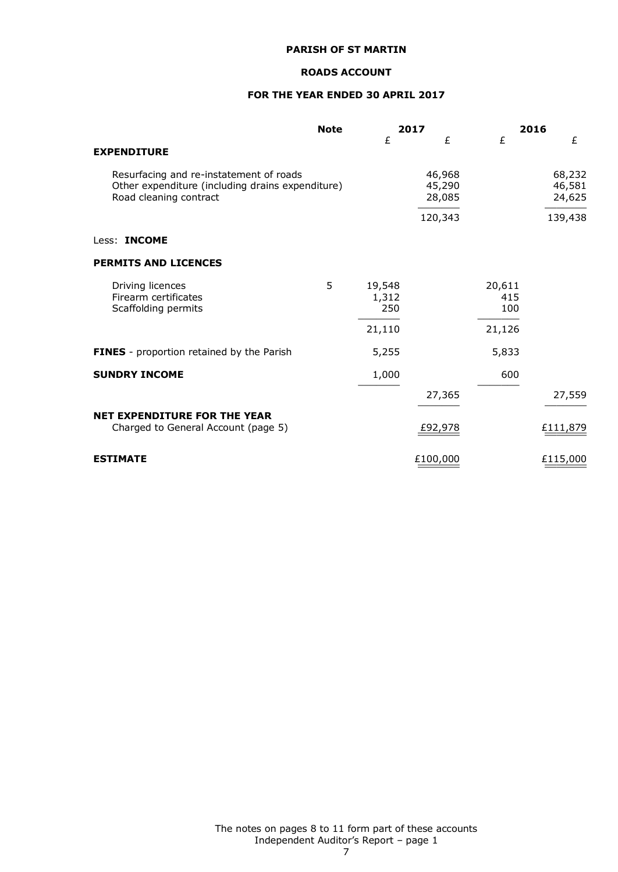#### **ROADS ACCOUNT**

# **FOR THE YEAR ENDED 30 APRIL 2017**

|                                                                                                                       | <b>Note</b> |                        | 2017                       |                      | 2016                       |
|-----------------------------------------------------------------------------------------------------------------------|-------------|------------------------|----------------------------|----------------------|----------------------------|
| <b>EXPENDITURE</b>                                                                                                    |             | £                      | £                          | £                    | £                          |
| Resurfacing and re-instatement of roads<br>Other expenditure (including drains expenditure)<br>Road cleaning contract |             |                        | 46,968<br>45,290<br>28,085 |                      | 68,232<br>46,581<br>24,625 |
|                                                                                                                       |             |                        | 120,343                    |                      | 139,438                    |
| Less: <b>INCOME</b>                                                                                                   |             |                        |                            |                      |                            |
| <b>PERMITS AND LICENCES</b>                                                                                           |             |                        |                            |                      |                            |
| Driving licences<br>Firearm certificates<br>Scaffolding permits                                                       | 5           | 19,548<br>1,312<br>250 |                            | 20,611<br>415<br>100 |                            |
|                                                                                                                       |             | 21,110                 |                            | 21,126               |                            |
| <b>FINES</b> - proportion retained by the Parish                                                                      |             | 5,255                  |                            | 5,833                |                            |
| <b>SUNDRY INCOME</b>                                                                                                  |             | 1,000                  |                            | 600                  |                            |
|                                                                                                                       |             |                        | 27,365                     |                      | 27,559                     |
| <b>NET EXPENDITURE FOR THE YEAR</b><br>Charged to General Account (page 5)                                            |             |                        | £92,978                    |                      | £111,879                   |
| <b>ESTIMATE</b>                                                                                                       |             |                        | £100,000                   |                      | £115,000                   |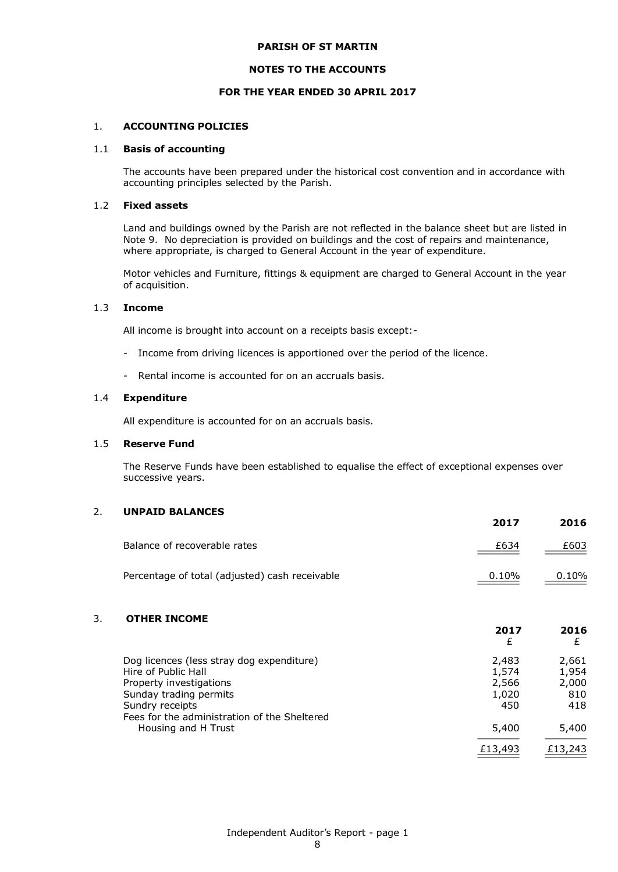#### **NOTES TO THE ACCOUNTS**

#### **FOR THE YEAR ENDED 30 APRIL 2017**

#### 1. **ACCOUNTING POLICIES**

#### 1.1 **Basis of accounting**

The accounts have been prepared under the historical cost convention and in accordance with accounting principles selected by the Parish.

#### 1.2 **Fixed assets**

Land and buildings owned by the Parish are not reflected in the balance sheet but are listed in Note 9. No depreciation is provided on buildings and the cost of repairs and maintenance, where appropriate, is charged to General Account in the year of expenditure.

Motor vehicles and Furniture, fittings & equipment are charged to General Account in the year of acquisition.

#### 1.3 **Income**

All income is brought into account on a receipts basis except:-

- Income from driving licences is apportioned over the period of the licence.
- Rental income is accounted for on an accruals basis.

#### 1.4 **Expenditure**

All expenditure is accounted for on an accruals basis.

#### 1.5 **Reserve Fund**

The Reserve Funds have been established to equalise the effect of exceptional expenses over successive years.

### 2. **UNPAID BALANCES**

|                                                | 2017  | 2016  |
|------------------------------------------------|-------|-------|
| Balance of recoverable rates                   | £634  | £603  |
| Percentage of total (adjusted) cash receivable | 0.10% | 0.10% |

# 3. **OTHER INCOME**

|                                              | 2017<br>£ | 2016<br>£ |
|----------------------------------------------|-----------|-----------|
| Dog licences (less stray dog expenditure)    | 2,483     | 2,661     |
| Hire of Public Hall                          | 1,574     | 1,954     |
| Property investigations                      | 2,566     | 2,000     |
| Sunday trading permits                       | 1,020     | 810       |
| Sundry receipts                              | 450       | 418       |
| Fees for the administration of the Sheltered |           |           |
| Housing and H Trust                          | 5,400     | 5,400     |
|                                              | £13,493   | £13,243   |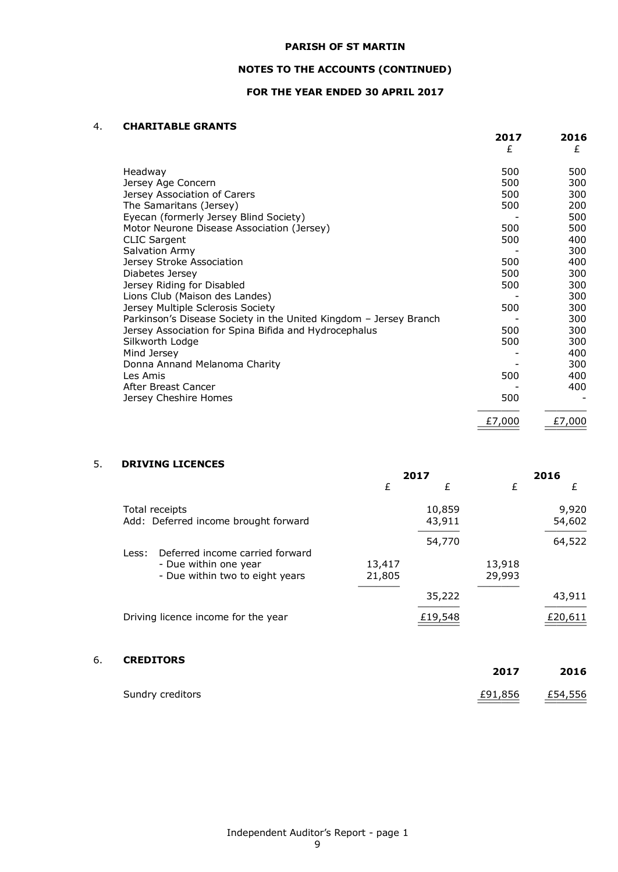# **NOTES TO THE ACCOUNTS (CONTINUED)**

# **FOR THE YEAR ENDED 30 APRIL 2017**

#### 4. **CHARITABLE GRANTS**

|                                                                   | 2017<br>£ | 2016<br>£ |
|-------------------------------------------------------------------|-----------|-----------|
| Headway                                                           | 500       | 500       |
| Jersey Age Concern                                                | 500       | 300       |
| Jersey Association of Carers                                      | 500       | 300       |
| The Samaritans (Jersey)                                           | 500       | 200       |
| Eyecan (formerly Jersey Blind Society)                            |           | 500       |
| Motor Neurone Disease Association (Jersey)                        | 500       | 500       |
| <b>CLIC Sargent</b>                                               | 500       | 400       |
| Salvation Army                                                    |           | 300       |
| Jersey Stroke Association                                         | 500       | 400       |
| Diabetes Jersey                                                   | 500       | 300       |
| Jersey Riding for Disabled                                        | 500       | 300       |
| Lions Club (Maison des Landes)                                    |           | 300       |
| Jersey Multiple Sclerosis Society                                 | 500       | 300       |
| Parkinson's Disease Society in the United Kingdom - Jersey Branch |           | 300       |
| Jersey Association for Spina Bifida and Hydrocephalus             | 500       | 300       |
| Silkworth Lodge                                                   | 500       | 300       |
| Mind Jersey                                                       |           | 400       |
| Donna Annand Melanoma Charity                                     |           | 300       |
| Les Amis                                                          | 500       | 400       |
| After Breast Cancer                                               |           | 400       |
| Jersey Cheshire Homes                                             | 500       |           |
|                                                                   | £7,000    | £7,000    |
|                                                                   |           |           |

# 5. **DRIVING LICENCES**

|                                                          | 2017             |                  | 2016             |                 |
|----------------------------------------------------------|------------------|------------------|------------------|-----------------|
|                                                          | £                | £                | £                | £               |
| Total receipts<br>Add: Deferred income brought forward   |                  | 10,859<br>43,911 |                  | 9,920<br>54,602 |
| Deferred income carried forward<br>Less:                 |                  | 54,770           |                  | 64,522          |
| - Due within one year<br>- Due within two to eight years | 13,417<br>21,805 |                  | 13,918<br>29,993 |                 |
|                                                          |                  | 35,222           |                  | 43,911          |
| Driving licence income for the year                      |                  | £19,548          |                  | £20,611         |

# 6. **CREDITORS**

| Sundry creditors | £91,856 £54,556 |
|------------------|-----------------|

**2017 2016**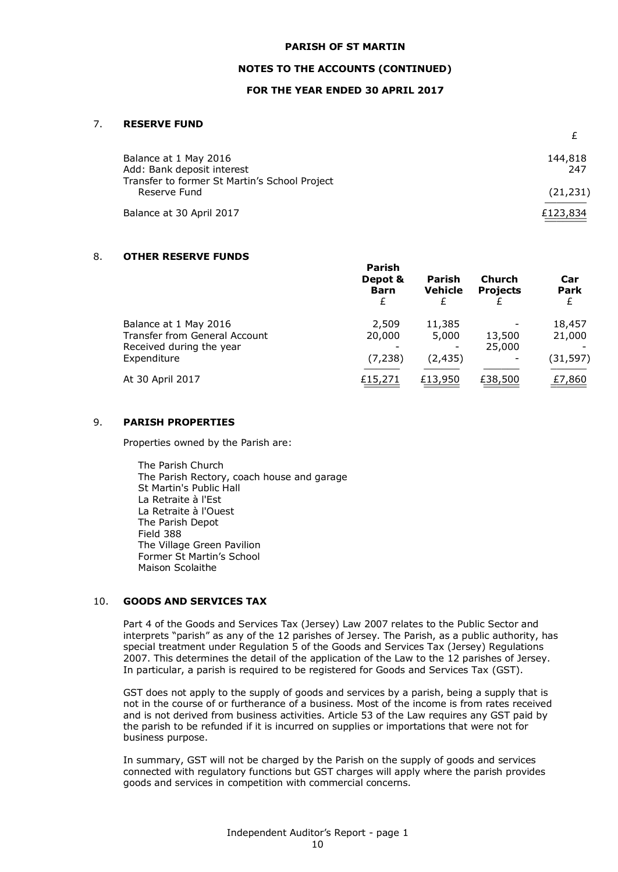#### **NOTES TO THE ACCOUNTS (CONTINUED)**

#### **FOR THE YEAR ENDED 30 APRIL 2017**

#### 7. **RESERVE FUND**

| 144,818   |
|-----------|
| 247       |
| (21, 231) |
| £123,834  |
|           |

£

### 8. **OTHER RESERVE FUNDS**

|                                                                                                          | ганэн<br>Depot &<br><b>Barn</b><br>£ | <b>Parish</b><br><b>Vehicle</b> | <b>Church</b><br><b>Projects</b> | Car<br><b>Park</b><br>£       |
|----------------------------------------------------------------------------------------------------------|--------------------------------------|---------------------------------|----------------------------------|-------------------------------|
| Balance at 1 May 2016<br><b>Transfer from General Account</b><br>Received during the year<br>Expenditure | 2,509<br>20,000<br>(7, 238)          | 11,385<br>5,000<br>(2, 435)     | 13,500<br>25,000                 | 18,457<br>21,000<br>(31, 597) |
| At 30 April 2017                                                                                         | £15,271                              | £13,950                         | £38,500                          | £7,860                        |

**Parish**

#### 9. **PARISH PROPERTIES**

Properties owned by the Parish are:

The Parish Church The Parish Rectory, coach house and garage St Martin's Public Hall La Retraite à l'Est La Retraite à l'Ouest The Parish Depot Field 388 The Village Green Pavilion Former St Martin's School Maison Scolaithe

### 10. **GOODS AND SERVICES TAX**

Part 4 of the Goods and Services Tax (Jersey) Law 2007 relates to the Public Sector and interprets "parish" as any of the 12 parishes of Jersey. The Parish, as a public authority, has special treatment under Regulation 5 of the Goods and Services Tax (Jersey) Regulations 2007. This determines the detail of the application of the Law to the 12 parishes of Jersey. In particular, a parish is required to be registered for Goods and Services Tax (GST).

GST does not apply to the supply of goods and services by a parish, being a supply that is not in the course of or furtherance of a business. Most of the income is from rates received and is not derived from business activities. Article 53 of the Law requires any GST paid by the parish to be refunded if it is incurred on supplies or importations that were not for business purpose.

In summary, GST will not be charged by the Parish on the supply of goods and services connected with regulatory functions but GST charges will apply where the parish provides goods and services in competition with commercial concerns.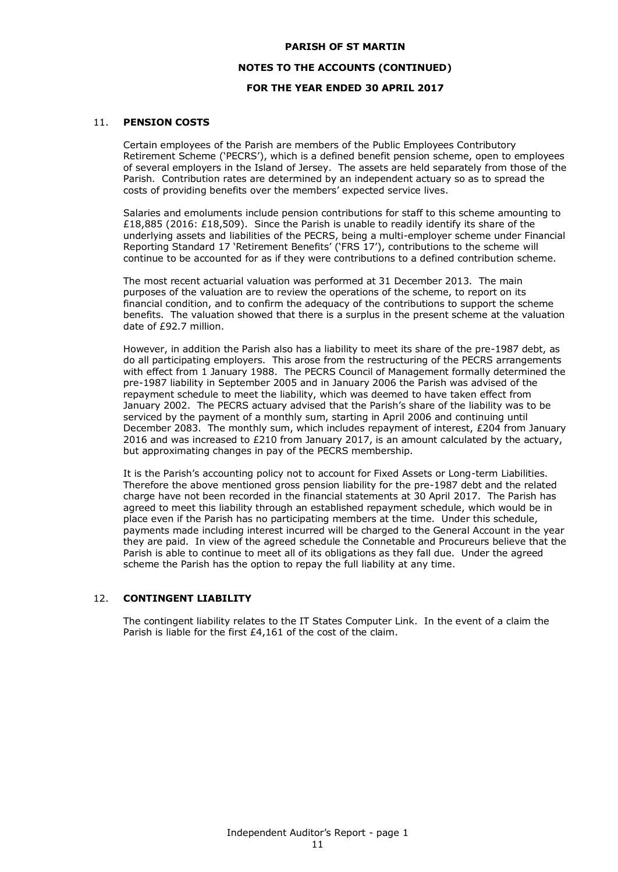### **NOTES TO THE ACCOUNTS (CONTINUED)**

### **FOR THE YEAR ENDED 30 APRIL 2017**

## 11. **PENSION COSTS**

Certain employees of the Parish are members of the Public Employees Contributory Retirement Scheme ('PECRS'), which is a defined benefit pension scheme, open to employees of several employers in the Island of Jersey. The assets are held separately from those of the Parish. Contribution rates are determined by an independent actuary so as to spread the costs of providing benefits over the members' expected service lives.

Salaries and emoluments include pension contributions for staff to this scheme amounting to £18,885 (2016: £18,509). Since the Parish is unable to readily identify its share of the underlying assets and liabilities of the PECRS, being a multi-employer scheme under Financial Reporting Standard 17 'Retirement Benefits' ('FRS 17'), contributions to the scheme will continue to be accounted for as if they were contributions to a defined contribution scheme.

The most recent actuarial valuation was performed at 31 December 2013. The main purposes of the valuation are to review the operations of the scheme, to report on its financial condition, and to confirm the adequacy of the contributions to support the scheme benefits. The valuation showed that there is a surplus in the present scheme at the valuation date of £92.7 million.

However, in addition the Parish also has a liability to meet its share of the pre-1987 debt, as do all participating employers. This arose from the restructuring of the PECRS arrangements with effect from 1 January 1988. The PECRS Council of Management formally determined the pre-1987 liability in September 2005 and in January 2006 the Parish was advised of the repayment schedule to meet the liability, which was deemed to have taken effect from January 2002. The PECRS actuary advised that the Parish's share of the liability was to be serviced by the payment of a monthly sum, starting in April 2006 and continuing until December 2083. The monthly sum, which includes repayment of interest, £204 from January 2016 and was increased to £210 from January 2017, is an amount calculated by the actuary, but approximating changes in pay of the PECRS membership.

It is the Parish's accounting policy not to account for Fixed Assets or Long-term Liabilities. Therefore the above mentioned gross pension liability for the pre-1987 debt and the related charge have not been recorded in the financial statements at 30 April 2017. The Parish has agreed to meet this liability through an established repayment schedule, which would be in place even if the Parish has no participating members at the time. Under this schedule, payments made including interest incurred will be charged to the General Account in the year they are paid. In view of the agreed schedule the Connetable and Procureurs believe that the Parish is able to continue to meet all of its obligations as they fall due. Under the agreed scheme the Parish has the option to repay the full liability at any time.

### 12. **CONTINGENT LIABILITY**

The contingent liability relates to the IT States Computer Link. In the event of a claim the Parish is liable for the first £4,161 of the cost of the claim.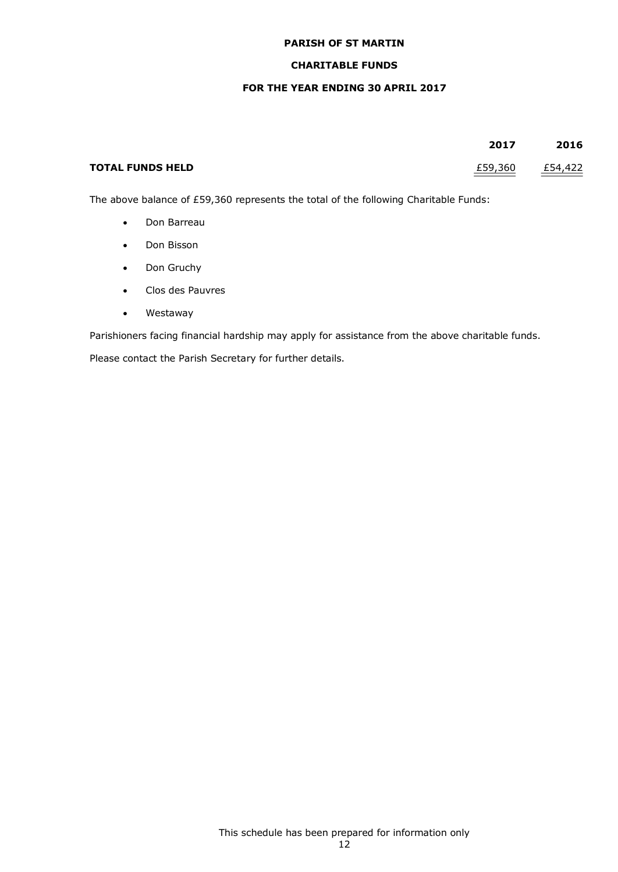# **CHARITABLE FUNDS**

### **FOR THE YEAR ENDING 30 APRIL 2017**

|                         | 2017    | 2016    |
|-------------------------|---------|---------|
| <b>TOTAL FUNDS HELD</b> | £59,360 | £54,422 |

The above balance of £59,360 represents the total of the following Charitable Funds:

- Don Barreau
- Don Bisson
- Don Gruchy
- Clos des Pauvres
- Westaway

Parishioners facing financial hardship may apply for assistance from the above charitable funds.

Please contact the Parish Secretary for further details.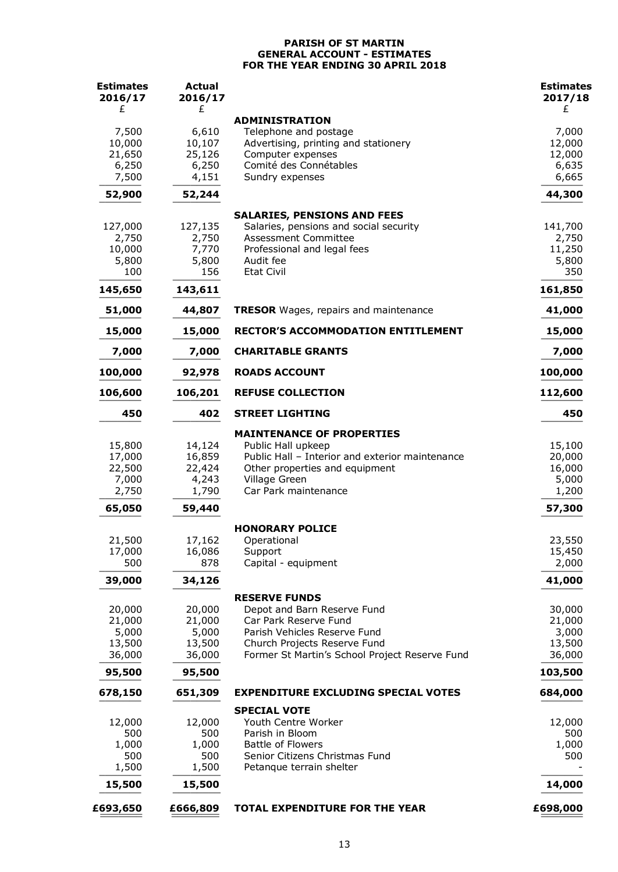### **PARISH OF ST MARTIN GENERAL ACCOUNT - ESTIMATES FOR THE YEAR ENDING 30 APRIL 2018**

| <b>Estimates</b><br>2016/17<br>£ | <b>Actual</b><br>2016/17<br>£ |                                                                                | <b>Estimates</b><br>2017/18<br>£ |
|----------------------------------|-------------------------------|--------------------------------------------------------------------------------|----------------------------------|
|                                  |                               | <b>ADMINISTRATION</b>                                                          |                                  |
| 7,500                            | 6,610                         | Telephone and postage                                                          | 7,000                            |
| 10,000                           | 10,107                        | Advertising, printing and stationery                                           | 12,000                           |
| 21,650                           | 25,126                        | Computer expenses                                                              | 12,000                           |
| 6,250                            | 6,250                         | Comité des Connétables                                                         | 6,635                            |
| 7,500                            | 4,151                         | Sundry expenses                                                                | 6,665                            |
| 52,900                           | 52,244                        |                                                                                | 44,300                           |
| 127,000                          | 127,135                       | <b>SALARIES, PENSIONS AND FEES</b><br>Salaries, pensions and social security   | 141,700                          |
| 2,750                            | 2,750                         | <b>Assessment Committee</b>                                                    | 2,750                            |
| 10,000                           | 7,770                         | Professional and legal fees                                                    | 11,250                           |
| 5,800                            | 5,800                         | Audit fee                                                                      | 5,800                            |
| 100                              | 156                           | <b>Etat Civil</b>                                                              | 350                              |
| 145,650                          | 143,611                       |                                                                                | 161,850                          |
| 51,000                           | 44,807                        | <b>TRESOR</b> Wages, repairs and maintenance                                   | 41,000                           |
| 15,000                           | 15,000                        | <b>RECTOR'S ACCOMMODATION ENTITLEMENT</b>                                      | 15,000                           |
| 7,000                            | 7,000                         | <b>CHARITABLE GRANTS</b>                                                       | 7,000                            |
| 100,000                          | 92,978                        | <b>ROADS ACCOUNT</b>                                                           | 100,000                          |
| 106,600                          | 106,201                       | <b>REFUSE COLLECTION</b>                                                       | 112,600                          |
| 450                              | 402                           | <b>STREET LIGHTING</b>                                                         | 450                              |
|                                  |                               | <b>MAINTENANCE OF PROPERTIES</b>                                               |                                  |
| 15,800                           | 14,124                        | Public Hall upkeep                                                             | 15,100                           |
| 17,000                           | 16,859                        | Public Hall - Interior and exterior maintenance                                | 20,000                           |
| 22,500                           | 22,424                        | Other properties and equipment                                                 | 16,000                           |
| 7,000<br>2,750                   | 4,243<br>1,790                | Village Green<br>Car Park maintenance                                          | 5,000<br>1,200                   |
| 65,050                           | 59,440                        |                                                                                | 57,300                           |
|                                  |                               |                                                                                |                                  |
| 21,500                           | 17,162                        | <b>HONORARY POLICE</b><br>Operational                                          | 23,550                           |
| 17,000                           | 16,086                        | Support                                                                        | 15,450                           |
| 500                              | 878                           | Capital - equipment                                                            | 2,000                            |
| 39,000                           | 34,126                        |                                                                                | 41,000                           |
|                                  |                               | <b>RESERVE FUNDS</b>                                                           |                                  |
| 20,000                           | 20,000                        | Depot and Barn Reserve Fund                                                    | 30,000                           |
| 21,000                           | 21,000                        | Car Park Reserve Fund                                                          | 21,000                           |
| 5,000<br>13,500                  | 5,000<br>13,500               | Parish Vehicles Reserve Fund                                                   | 3,000<br>13,500                  |
| 36,000                           | 36,000                        | Church Projects Reserve Fund<br>Former St Martin's School Project Reserve Fund | 36,000                           |
| 95,500                           | 95,500                        |                                                                                | 103,500                          |
| 678,150                          | 651,309                       | <b>EXPENDITURE EXCLUDING SPECIAL VOTES</b>                                     | 684,000                          |
|                                  |                               | <b>SPECIAL VOTE</b>                                                            |                                  |
| 12,000                           | 12,000                        | Youth Centre Worker                                                            | 12,000                           |
| 500                              | 500                           | Parish in Bloom                                                                | 500                              |
| 1,000<br>500                     | 1,000<br>500                  | Battle of Flowers<br>Senior Citizens Christmas Fund                            | 1,000<br>500                     |
| 1,500                            | 1,500                         | Petanque terrain shelter                                                       |                                  |
| 15,500                           | 15,500                        |                                                                                | 14,000                           |
| £693,650                         | £666,809                      | TOTAL EXPENDITURE FOR THE YEAR                                                 | £698,000                         |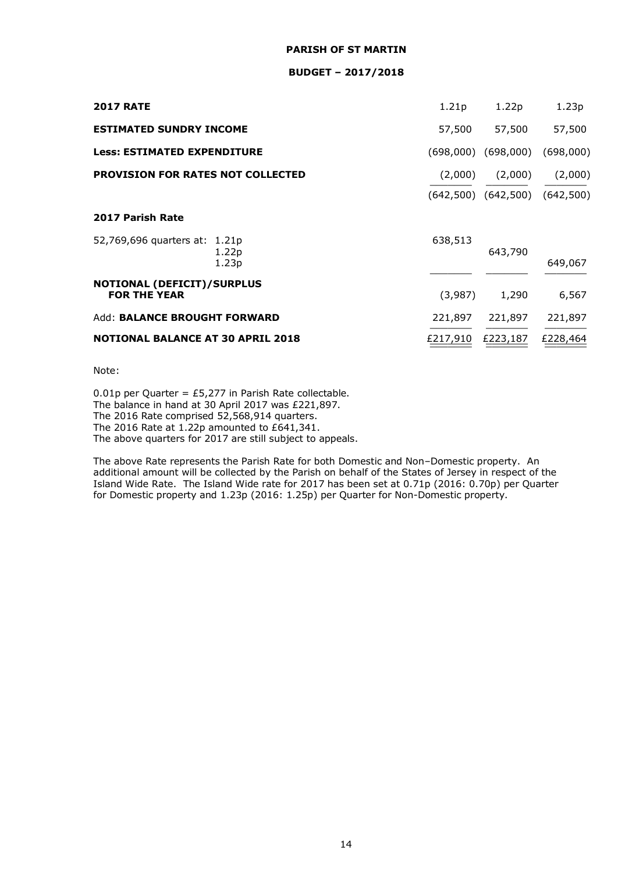#### **BUDGET – 2017/2018**

| <b>2017 RATE</b>                                         | 1.21p     | 1.22p               | 1.23p     |
|----------------------------------------------------------|-----------|---------------------|-----------|
| <b>ESTIMATED SUNDRY INCOME</b>                           | 57,500    | 57,500              | 57,500    |
| <b>Less: ESTIMATED EXPENDITURE</b>                       | (698,000) | (698,000)           | (698,000) |
| <b>PROVISION FOR RATES NOT COLLECTED</b>                 | (2,000)   | (2,000)             | (2,000)   |
|                                                          |           | (642,500) (642,500) | (642,500) |
| 2017 Parish Rate                                         |           |                     |           |
| 52,769,696 quarters at: 1.21p<br>1.22p<br>1.23p          | 638,513   | 643,790             | 649,067   |
| <b>NOTIONAL (DEFICIT)/SURPLUS</b><br><b>FOR THE YEAR</b> | (3,987)   | 1,290               | 6,567     |
| Add: BALANCE BROUGHT FORWARD                             | 221,897   | 221,897             | 221,897   |
| <b>NOTIONAL BALANCE AT 30 APRIL 2018</b>                 | £217,910  | £223,187            | £228,464  |

Note:

0.01p per Quarter = £5,277 in Parish Rate collectable. The balance in hand at 30 April 2017 was £221,897. The 2016 Rate comprised 52,568,914 quarters. The 2016 Rate at 1.22p amounted to £641,341. The above quarters for 2017 are still subject to appeals.

The above Rate represents the Parish Rate for both Domestic and Non–Domestic property. An additional amount will be collected by the Parish on behalf of the States of Jersey in respect of the Island Wide Rate. The Island Wide rate for 2017 has been set at 0.71p (2016: 0.70p) per Quarter for Domestic property and 1.23p (2016: 1.25p) per Quarter for Non-Domestic property.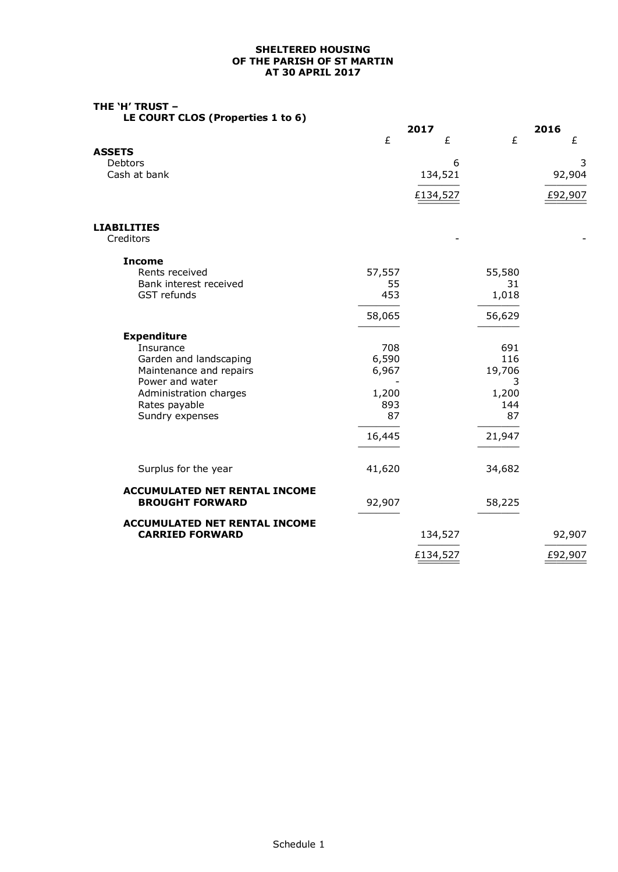#### **SHELTERED HOUSING OF THE PARISH OF ST MARTIN AT 30 APRIL 2017**

# **THE 'H' TRUST –**

**LE COURT CLOS (Properties 1 to 6)**

|                                      |           | 2017     |           | 2016    |
|--------------------------------------|-----------|----------|-----------|---------|
|                                      | £         | £        | £         | £       |
| <b>ASSETS</b>                        |           |          |           |         |
| Debtors                              |           | 6        |           | 3       |
| Cash at bank                         |           | 134,521  |           | 92,904  |
|                                      |           | £134,527 |           | £92,907 |
|                                      |           |          |           |         |
| <b>LIABILITIES</b>                   |           |          |           |         |
| Creditors                            |           |          |           |         |
| <b>Income</b>                        |           |          |           |         |
| Rents received                       | 57,557    |          | 55,580    |         |
| Bank interest received               | 55        |          | 31        |         |
| GST refunds                          | 453       |          | 1,018     |         |
|                                      | 58,065    |          | 56,629    |         |
| <b>Expenditure</b>                   |           |          |           |         |
| Insurance                            | 708       |          | 691       |         |
| Garden and landscaping               | 6,590     |          | 116       |         |
| Maintenance and repairs              | 6,967     |          | 19,706    |         |
| Power and water                      |           |          | 3         |         |
| Administration charges               | 1,200     |          | 1,200     |         |
| Rates payable                        | 893<br>87 |          | 144<br>87 |         |
| Sundry expenses                      |           |          |           |         |
|                                      | 16,445    |          | 21,947    |         |
|                                      |           |          |           |         |
| Surplus for the year                 | 41,620    |          | 34,682    |         |
| <b>ACCUMULATED NET RENTAL INCOME</b> |           |          |           |         |
| <b>BROUGHT FORWARD</b>               | 92,907    |          | 58,225    |         |
| <b>ACCUMULATED NET RENTAL INCOME</b> |           |          |           |         |
| <b>CARRIED FORWARD</b>               |           | 134,527  |           | 92,907  |
|                                      |           | £134,527 |           | £92,907 |